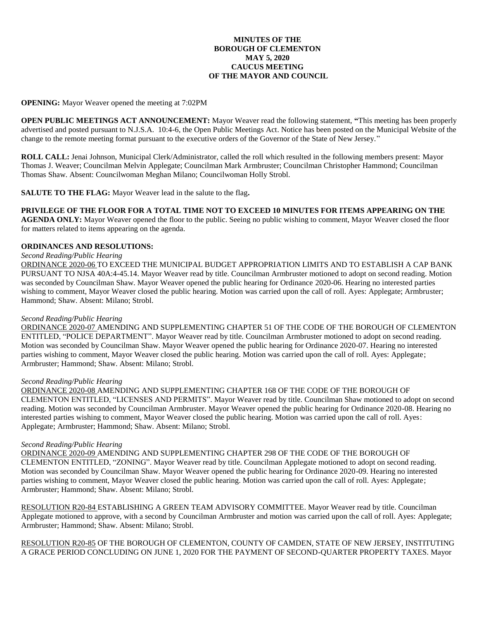# **MINUTES OF THE BOROUGH OF CLEMENTON MAY 5, 2020 CAUCUS MEETING OF THE MAYOR AND COUNCIL**

## **OPENING:** Mayor Weaver opened the meeting at 7:02PM

**OPEN PUBLIC MEETINGS ACT ANNOUNCEMENT:** Mayor Weaver read the following statement, **"**This meeting has been properly advertised and posted pursuant to N.J.S.A. 10:4-6, the Open Public Meetings Act. Notice has been posted on the Municipal Website of the change to the remote meeting format pursuant to the executive orders of the Governor of the State of New Jersey."

**ROLL CALL:** Jenai Johnson, Municipal Clerk/Administrator, called the roll which resulted in the following members present: Mayor Thomas J. Weaver; Councilman Melvin Applegate; Councilman Mark Armbruster; Councilman Christopher Hammond; Councilman Thomas Shaw. Absent: Councilwoman Meghan Milano; Councilwoman Holly Strobl.

**SALUTE TO THE FLAG:** Mayor Weaver lead in the salute to the flag**.**

# **PRIVILEGE OF THE FLOOR FOR A TOTAL TIME NOT TO EXCEED 10 MINUTES FOR ITEMS APPEARING ON THE**

**AGENDA ONLY:** Mayor Weaver opened the floor to the public. Seeing no public wishing to comment, Mayor Weaver closed the floor for matters related to items appearing on the agenda.

## **ORDINANCES AND RESOLUTIONS:**

## *Second Reading/Public Hearing*

ORDINANCE 2020-06 TO EXCEED THE MUNICIPAL BUDGET APPROPRIATION LIMITS AND TO ESTABLISH A CAP BANK PURSUANT TO NJSA 40A:4-45.14. Mayor Weaver read by title. Councilman Armbruster motioned to adopt on second reading. Motion was seconded by Councilman Shaw. Mayor Weaver opened the public hearing for Ordinance 2020-06. Hearing no interested parties wishing to comment, Mayor Weaver closed the public hearing. Motion was carried upon the call of roll. Ayes: Applegate; Armbruster; Hammond; Shaw. Absent: Milano; Strobl.

#### *Second Reading/Public Hearing*

ORDINANCE 2020-07 AMENDING AND SUPPLEMENTING CHAPTER 51 OF THE CODE OF THE BOROUGH OF CLEMENTON ENTITLED, "POLICE DEPARTMENT". Mayor Weaver read by title. Councilman Armbruster motioned to adopt on second reading. Motion was seconded by Councilman Shaw. Mayor Weaver opened the public hearing for Ordinance 2020-07. Hearing no interested parties wishing to comment, Mayor Weaver closed the public hearing. Motion was carried upon the call of roll. Ayes: Applegate; Armbruster; Hammond; Shaw. Absent: Milano; Strobl.

#### *Second Reading/Public Hearing*

ORDINANCE 2020-08 AMENDING AND SUPPLEMENTING CHAPTER 168 OF THE CODE OF THE BOROUGH OF CLEMENTON ENTITLED, "LICENSES AND PERMITS". Mayor Weaver read by title. Councilman Shaw motioned to adopt on second reading. Motion was seconded by Councilman Armbruster. Mayor Weaver opened the public hearing for Ordinance 2020-08. Hearing no interested parties wishing to comment, Mayor Weaver closed the public hearing. Motion was carried upon the call of roll. Ayes: Applegate; Armbruster; Hammond; Shaw. Absent: Milano; Strobl.

#### *Second Reading/Public Hearing*

ORDINANCE 2020-09 AMENDING AND SUPPLEMENTING CHAPTER 298 OF THE CODE OF THE BOROUGH OF CLEMENTON ENTITLED, "ZONING". Mayor Weaver read by title. Councilman Applegate motioned to adopt on second reading. Motion was seconded by Councilman Shaw. Mayor Weaver opened the public hearing for Ordinance 2020-09. Hearing no interested parties wishing to comment, Mayor Weaver closed the public hearing. Motion was carried upon the call of roll. Ayes: Applegate; Armbruster; Hammond; Shaw. Absent: Milano; Strobl.

RESOLUTION R20-84 ESTABLISHING A GREEN TEAM ADVISORY COMMITTEE. Mayor Weaver read by title. Councilman Applegate motioned to approve, with a second by Councilman Armbruster and motion was carried upon the call of roll. Ayes: Applegate; Armbruster; Hammond; Shaw. Absent: Milano; Strobl.

RESOLUTION R20-85 OF THE BOROUGH OF CLEMENTON, COUNTY OF CAMDEN, STATE OF NEW JERSEY, INSTITUTING A GRACE PERIOD CONCLUDING ON JUNE 1, 2020 FOR THE PAYMENT OF SECOND-QUARTER PROPERTY TAXES. Mayor